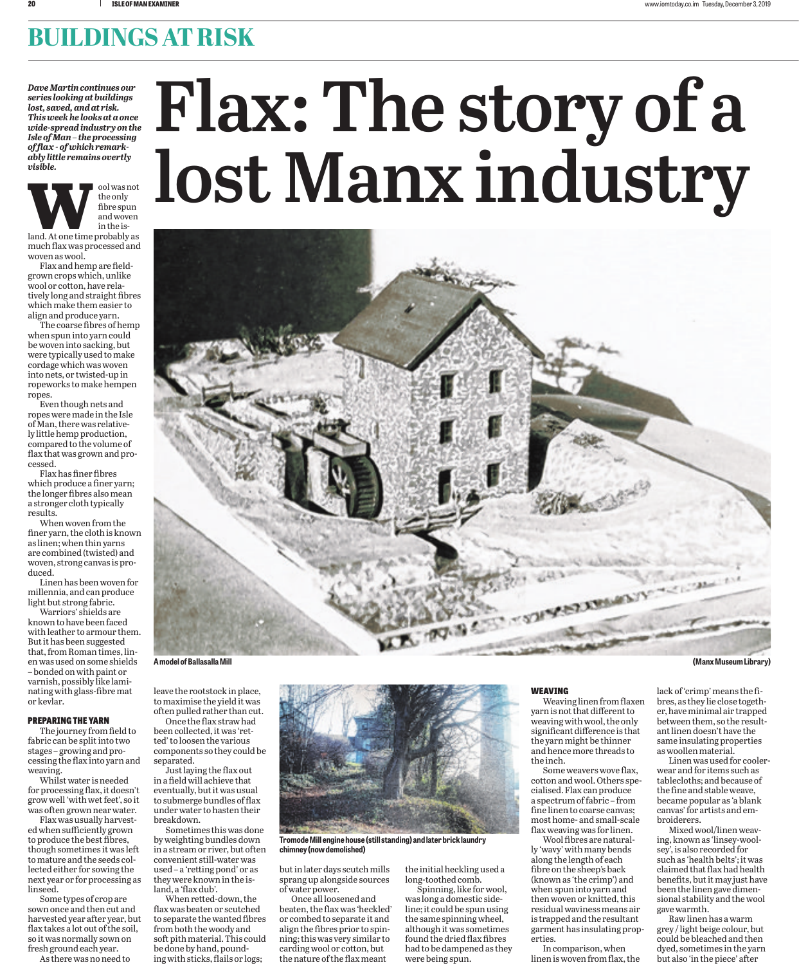## **BUILDINGS AT RISK**

*Dave Martin continues our series looking at buildings lost, saved, and at risk. This week he looks at a once wide-spread industry on the Isle of Man – the processing of flax - of which remarkably little remains overtly visible.*



much flax was processed and woven as wool.

Flax and hemp are fieldgrown crops which, unlike wool or cotton, have relatively long and straight fibres which make them easier to align and produce yarn.

The coarse fibres of hemp when spun into yarn could be woven into sacking, but were typically used to make cordage which was woven into nets, or twisted-up in ropeworks to make hempen ropes.

Even though nets and ropes were made in the Isle of Man, there was relatively little hemp production, compared to the volume of flax that was grown and processed.

Flax has finer fibres which produce a finer yarn; the longer fibres also mean a stronger cloth typically results.

When woven from the finer yarn, the cloth is known as linen; when thin yarns are combined (twisted) and woven, strong canvas is produced.

Linen has been woven for millennia, and can produce light but strong fabric.

Warriors' shields are known to have been faced with leather to armour them. But it has been suggested that, from Roman times, linen was used on some shields – bonded on with paint or varnish, possibly like laminating with glass-fibre mat or kevlar.

### PREPARING THE YARN

The journey from field to fabric can be split into two stages – growing and processing the flax into yarn and weaving.

Whilst water is needed for processing flax, it doesn't grow well 'with wet feet', so it was often grown near water.

Flax was usually harvested when sufficiently grown to produce the best fibres, though sometimes it was left to mature and the seeds collected either for sowing the next year or for processing as linseed.

Some types of crop are sown once and then cut and harvested year after year, but flax takes a lot out of the soil, so it was normally sown on fresh ground each year.

As there was no need to

# **Flax: The story of a lost Manx industry**



leave the rootstock in place, to maximise the yield it was often pulled rather than cut.

Once the flax straw had been collected, it was 'retted' to loosen the various components so they could be separated.

Just laying the flax out in a field will achieve that eventually, but it was usual to submerge bundles of flax under water to hasten their breakdown.

Sometimes this was done by weighting bundles down in a stream or river, but often convenient still-water was used – a 'retting pond' or as they were known in the island, a 'flax dub'.

When retted-down, the flax was beaten or scutched to separate the wanted fibres from both the woody and soft pith material. This could be done by hand, pounding with sticks, flails or logs;



**Tromode Mill engine house (still standing) and later brick laundry chimney (now demolished)**

but in later days scutch mills sprang up alongside sources of water power.

Once all loosened and beaten, the flax was 'heckled' or combed to separate it and align the fibres prior to spinning; this was very similar to carding wool or cotton, but the nature of the flax meant

the initial heckling used a long-toothed comb.

Spinning, like for wool, was long a domestic sideline; it could be spun using the same spinning wheel, although it was sometimes found the dried flax fibres had to be dampened as they were being spun.

#### WEAVING

Weaving linen from flaxen yarn is not that different to weaving with wool, the only significant difference is that the yarn might be thinner and hence more threads to the inch.

Some weavers wove flax, cotton and wool. Others specialised. Flax can produce a spectrum of fabric – from fine linen to coarse canvas; most home- and small-scale flax weaving was for linen.

Wool fibres are naturally 'wavy' with many bends along the length of each fibre on the sheep's back (known as 'the crimp') and when spun into yarn and then woven or knitted, this residual waviness means air is trapped and the resultant garment has insulating properties.

In comparison, when linen is woven from flax, the

lack of 'crimp' means the fibres, as they lie close together, have minimal air trapped between them, so the resultant linen doesn't have the same insulating properties

as woollen material. Linen was used for coolerwear and for items such as tablecloths; and because of the fine and stable weave, became popular as 'a blank canvas' for artists and embroiderers.

Mixed wool/linen weaving, known as 'linsey-woolsey', is also recorded for such as 'health belts'; it was claimed that flax had health benefits, but it may just have been the linen gave dimensional stability and the wool gave warmth.

Raw linen has a warm grey / light beige colour, but could be bleached and then dyed, sometimes in the yarn but also 'in the piece' after